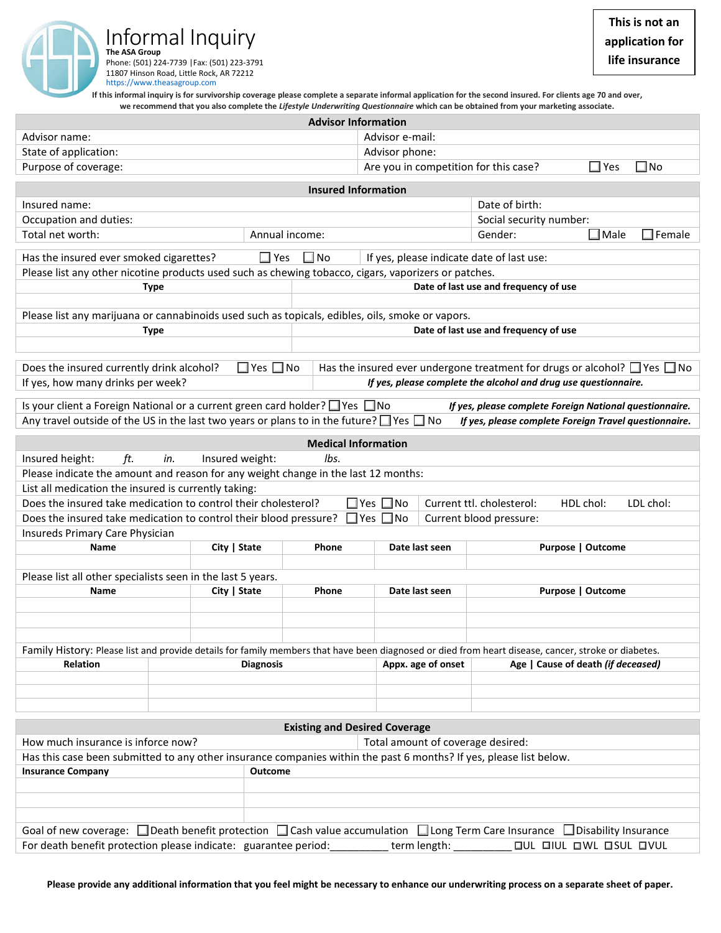Informal Inquiry **The ASA Group** Phone: (501) 224-7739 |Fax: (501) 223-3791 11807 Hinson Road, Little Rock, AR 72212 https://www.theasagroup.com

**If this informal inquiry is for survivorship coverage please complete a separate informal application for the second insured. For clients age 70 and over, we recommend that you also complete the** *Lifestyle Underwriting Questionnaire* **which can be obtained from your marketing associate.**

| <b>Advisor Information</b>                                                                                                                                                                                                                                                                             |                |                                       |                                       |                                                                     |                |  |                          |  |  |
|--------------------------------------------------------------------------------------------------------------------------------------------------------------------------------------------------------------------------------------------------------------------------------------------------------|----------------|---------------------------------------|---------------------------------------|---------------------------------------------------------------------|----------------|--|--------------------------|--|--|
| Advisor name:                                                                                                                                                                                                                                                                                          |                |                                       |                                       | Advisor e-mail:                                                     |                |  |                          |  |  |
| State of application:                                                                                                                                                                                                                                                                                  |                |                                       |                                       | Advisor phone:                                                      |                |  |                          |  |  |
| Purpose of coverage:                                                                                                                                                                                                                                                                                   |                |                                       |                                       | $\square$ No<br>$\Box$ Yes<br>Are you in competition for this case? |                |  |                          |  |  |
| <b>Insured Information</b>                                                                                                                                                                                                                                                                             |                |                                       |                                       |                                                                     |                |  |                          |  |  |
| Insured name:                                                                                                                                                                                                                                                                                          | Date of birth: |                                       |                                       |                                                                     |                |  |                          |  |  |
| Occupation and duties:                                                                                                                                                                                                                                                                                 |                |                                       |                                       | Social security number:                                             |                |  |                          |  |  |
| Total net worth:<br>Annual income:                                                                                                                                                                                                                                                                     |                |                                       |                                       | $\Box$ Male<br>$\Box$ Female<br>Gender:                             |                |  |                          |  |  |
|                                                                                                                                                                                                                                                                                                        |                |                                       |                                       |                                                                     |                |  |                          |  |  |
| $\Box$ Yes<br>If yes, please indicate date of last use:<br>Has the insured ever smoked cigarettes?<br>$\square$ No                                                                                                                                                                                     |                |                                       |                                       |                                                                     |                |  |                          |  |  |
| Please list any other nicotine products used such as chewing tobacco, cigars, vaporizers or patches.                                                                                                                                                                                                   |                |                                       |                                       |                                                                     |                |  |                          |  |  |
| <b>Type</b>                                                                                                                                                                                                                                                                                            |                | Date of last use and frequency of use |                                       |                                                                     |                |  |                          |  |  |
|                                                                                                                                                                                                                                                                                                        |                |                                       |                                       |                                                                     |                |  |                          |  |  |
| Please list any marijuana or cannabinoids used such as topicals, edibles, oils, smoke or vapors.                                                                                                                                                                                                       |                |                                       |                                       |                                                                     |                |  |                          |  |  |
| Type                                                                                                                                                                                                                                                                                                   |                |                                       | Date of last use and frequency of use |                                                                     |                |  |                          |  |  |
|                                                                                                                                                                                                                                                                                                        |                |                                       |                                       |                                                                     |                |  |                          |  |  |
| $\Box$ Yes $\Box$ No<br>Has the insured ever undergone treatment for drugs or alcohol? $\Box$ Yes $\Box$ No<br>Does the insured currently drink alcohol?                                                                                                                                               |                |                                       |                                       |                                                                     |                |  |                          |  |  |
| If yes, please complete the alcohol and drug use questionnaire.<br>If yes, how many drinks per week?                                                                                                                                                                                                   |                |                                       |                                       |                                                                     |                |  |                          |  |  |
|                                                                                                                                                                                                                                                                                                        |                |                                       |                                       |                                                                     |                |  |                          |  |  |
| Is your client a Foreign National or a current green card holder? □ Yes □ No<br>If yes, please complete Foreign National questionnaire.<br>Any travel outside of the US in the last two years or plans to in the future? $\Box$ Yes $\Box$ No<br>If yes, please complete Foreign Travel questionnaire. |                |                                       |                                       |                                                                     |                |  |                          |  |  |
|                                                                                                                                                                                                                                                                                                        |                |                                       |                                       |                                                                     |                |  |                          |  |  |
| <b>Medical Information</b>                                                                                                                                                                                                                                                                             |                |                                       |                                       |                                                                     |                |  |                          |  |  |
| lbs.<br>Insured height:<br>ft.<br>Insured weight:<br>in.                                                                                                                                                                                                                                               |                |                                       |                                       |                                                                     |                |  |                          |  |  |
| Please indicate the amount and reason for any weight change in the last 12 months:                                                                                                                                                                                                                     |                |                                       |                                       |                                                                     |                |  |                          |  |  |
| List all medication the insured is currently taking:                                                                                                                                                                                                                                                   |                |                                       |                                       |                                                                     |                |  |                          |  |  |
| Does the insured take medication to control their cholesterol?<br>$\Box$ Yes $\Box$ No<br>Current ttl. cholesterol:<br>HDL chol:<br>LDL chol:                                                                                                                                                          |                |                                       |                                       |                                                                     |                |  |                          |  |  |
| $\square$ Yes $\square$ No<br>Does the insured take medication to control their blood pressure?<br>Current blood pressure:                                                                                                                                                                             |                |                                       |                                       |                                                                     |                |  |                          |  |  |
| Insureds Primary Care Physician                                                                                                                                                                                                                                                                        |                |                                       |                                       |                                                                     |                |  |                          |  |  |
| Name                                                                                                                                                                                                                                                                                                   | City   State   |                                       | Phone                                 |                                                                     | Date last seen |  | <b>Purpose   Outcome</b> |  |  |
| Please list all other specialists seen in the last 5 years.                                                                                                                                                                                                                                            |                |                                       |                                       |                                                                     |                |  |                          |  |  |
| Name                                                                                                                                                                                                                                                                                                   | City   State   |                                       | Phone                                 |                                                                     | Date last seen |  | Purpose   Outcome        |  |  |
|                                                                                                                                                                                                                                                                                                        |                |                                       |                                       |                                                                     |                |  |                          |  |  |
|                                                                                                                                                                                                                                                                                                        |                |                                       |                                       |                                                                     |                |  |                          |  |  |
|                                                                                                                                                                                                                                                                                                        |                |                                       |                                       |                                                                     |                |  |                          |  |  |
| Family History: Please list and provide details for family members that have been diagnosed or died from heart disease, cancer, stroke or diabetes.                                                                                                                                                    |                |                                       |                                       |                                                                     |                |  |                          |  |  |
| <b>Relation</b><br><b>Diagnosis</b>                                                                                                                                                                                                                                                                    |                |                                       |                                       | Appx. age of onset<br>Age   Cause of death (if deceased)            |                |  |                          |  |  |
|                                                                                                                                                                                                                                                                                                        |                |                                       |                                       |                                                                     |                |  |                          |  |  |
|                                                                                                                                                                                                                                                                                                        |                |                                       |                                       |                                                                     |                |  |                          |  |  |
|                                                                                                                                                                                                                                                                                                        |                |                                       |                                       |                                                                     |                |  |                          |  |  |
| <b>Existing and Desired Coverage</b>                                                                                                                                                                                                                                                                   |                |                                       |                                       |                                                                     |                |  |                          |  |  |
| How much insurance is inforce now?<br>Total amount of coverage desired:                                                                                                                                                                                                                                |                |                                       |                                       |                                                                     |                |  |                          |  |  |
| Has this case been submitted to any other insurance companies within the past 6 months? If yes, please list below.                                                                                                                                                                                     |                |                                       |                                       |                                                                     |                |  |                          |  |  |
| <b>Insurance Company</b><br>Outcome                                                                                                                                                                                                                                                                    |                |                                       |                                       |                                                                     |                |  |                          |  |  |
|                                                                                                                                                                                                                                                                                                        |                |                                       |                                       |                                                                     |                |  |                          |  |  |
|                                                                                                                                                                                                                                                                                                        |                |                                       |                                       |                                                                     |                |  |                          |  |  |
|                                                                                                                                                                                                                                                                                                        |                |                                       |                                       |                                                                     |                |  |                          |  |  |
| Goal of new coverage: $\Box$ Death benefit protection $\Box$ Cash value accumulation $\Box$ Long Term Care Insurance $\Box$ Disability Insurance                                                                                                                                                       |                |                                       |                                       |                                                                     |                |  |                          |  |  |
| For death benefit protection please indicate: guarantee period:<br>term length:<br>OUL OIUL OWL OSUL OVUL                                                                                                                                                                                              |                |                                       |                                       |                                                                     |                |  |                          |  |  |

**Please provide any additional information that you feel might be necessary to enhance our underwriting process on a separate sheet of paper.**